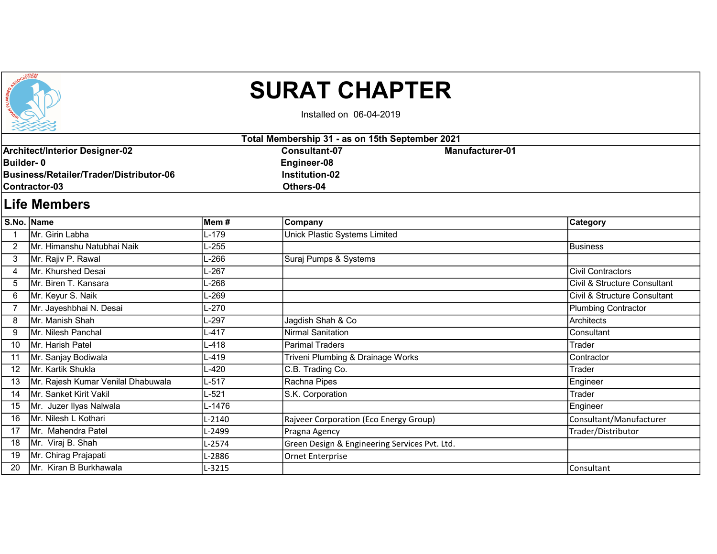

## SURAT CHAPTER

Installed on 06-04-2019

| Total Membership 31 - as on 15th September 2021                                                                       |                                    |           |                                                                           |                 |                              |  |  |  |  |
|-----------------------------------------------------------------------------------------------------------------------|------------------------------------|-----------|---------------------------------------------------------------------------|-----------------|------------------------------|--|--|--|--|
| <b>Architect/Interior Designer-02</b><br>Builder-0<br>Business/Retailer/Trader/Distributor-06<br><b>Contractor-03</b> |                                    |           | <b>Consultant-07</b><br>Engineer-08<br><b>Institution-02</b><br>Others-04 | Manufacturer-01 |                              |  |  |  |  |
| <b>Life Members</b>                                                                                                   |                                    |           |                                                                           |                 |                              |  |  |  |  |
|                                                                                                                       | S.No. Name                         | Mem#      | Company                                                                   |                 | <b>Category</b>              |  |  |  |  |
|                                                                                                                       | Mr. Girin Labha                    | $L-179$   | <b>Unick Plastic Systems Limited</b>                                      |                 |                              |  |  |  |  |
| $\overline{2}$                                                                                                        | Mr. Himanshu Natubhai Naik         | L-255     |                                                                           |                 | Business                     |  |  |  |  |
| 3                                                                                                                     | Mr. Rajiv P. Rawal                 | $-266$    | Suraj Pumps & Systems                                                     |                 |                              |  |  |  |  |
| 4                                                                                                                     | Mr. Khurshed Desai                 | L-267     |                                                                           |                 | <b>Civil Contractors</b>     |  |  |  |  |
| 5                                                                                                                     | Mr. Biren T. Kansara               | L-268     |                                                                           |                 | Civil & Structure Consultant |  |  |  |  |
| 6                                                                                                                     | Mr. Keyur S. Naik                  | L-269     |                                                                           |                 | Civil & Structure Consultant |  |  |  |  |
| $\overline{7}$                                                                                                        | Mr. Jayeshbhai N. Desai            | L-270     |                                                                           |                 | Plumbing Contractor          |  |  |  |  |
| 8                                                                                                                     | Mr. Manish Shah                    | L-297     | Jagdish Shah & Co                                                         |                 | Architects                   |  |  |  |  |
| 9                                                                                                                     | Mr. Nilesh Panchal                 | $L - 417$ | <b>Nirmal Sanitation</b>                                                  |                 | Consultant                   |  |  |  |  |
| 10                                                                                                                    | Mr. Harish Patel                   | $L-418$   | Parimal Traders                                                           |                 | Trader                       |  |  |  |  |
| 11                                                                                                                    | Mr. Sanjay Bodiwala                | L-419     | Triveni Plumbing & Drainage Works                                         |                 | Contractor                   |  |  |  |  |
| 12                                                                                                                    | Mr. Kartik Shukla                  | $-420$    | C.B. Trading Co.                                                          |                 | Trader                       |  |  |  |  |
| 13                                                                                                                    | Mr. Rajesh Kumar Venilal Dhabuwala | $L - 517$ | Rachna Pipes                                                              |                 | Engineer                     |  |  |  |  |
| 14                                                                                                                    | Mr. Sanket Kirit Vakil             | L-521     | S.K. Corporation                                                          |                 | Trader                       |  |  |  |  |
| 15                                                                                                                    | Mr. Juzer Ilyas Nalwala            | L-1476    |                                                                           |                 | Engineer                     |  |  |  |  |
| 16                                                                                                                    | Mr. Nilesh L Kothari               | $L-2140$  | Rajveer Corporation (Eco Energy Group)                                    |                 | Consultant/Manufacturer      |  |  |  |  |
| 17                                                                                                                    | Mr. Mahendra Patel                 | L-2499    | Pragna Agency                                                             |                 | Trader/Distributor           |  |  |  |  |
| 18                                                                                                                    | Mr. Viraj B. Shah                  | $L-2574$  | Green Design & Engineering Services Pvt. Ltd.                             |                 |                              |  |  |  |  |
| 19                                                                                                                    | Mr. Chirag Prajapati               | L-2886    | Ornet Enterprise                                                          |                 |                              |  |  |  |  |

20 Mr. Kiran B Burkhawala L-3215 L-3215 L-3215 Consultant